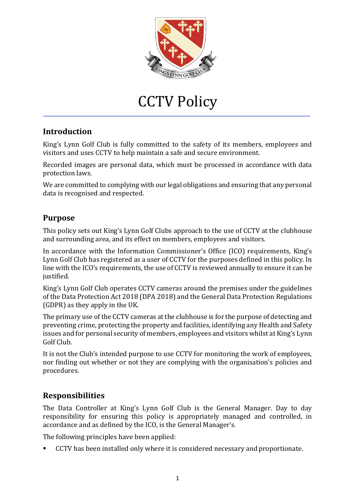

# CCTV Policy

## **Introduction**

King's Lynn Golf Club is fully committed to the safety of its members, employees and visitors and uses CCTV to help maintain a safe and secure environment.

Recorded images are personal data, which must be processed in accordance with data protection laws.

We are committed to complying with our legal obligations and ensuring that any personal data is recognised and respected.

### **Purpose**

This policy sets out King's Lynn Golf Clubs approach to the use of CCTV at the clubhouse and surrounding area, and its effect on members, employees and visitors.

In accordance with the Information Commissioner's Office (ICO) requirements, King's Lynn Golf Club has registered as a user of CCTV for the purposes defined in this policy. In line with the ICO's requirements, the use of CCTV is reviewed annually to ensure it can be justified.

King's Lynn Golf Club operates CCTV cameras around the premises under the guidelines of the Data Protection Act 2018 (DPA 2018) and the General Data Protection Regulations (GDPR) as they apply in the UK.

The primary use of the CCTV cameras at the clubhouse is for the purpose of detecting and preventing crime, protecting the property and facilities, identifying any Health and Safety issues and for personal security of members, employees and visitors whilst at King's Lynn Golf Club.

It is not the Club's intended purpose to use CCTV for monitoring the work of employees, nor finding out whether or not they are complying with the organisation's policies and procedures.

## **Responsibilities**

The Data Controller at King's Lynn Golf Club is the General Manager. Day to day responsibility for ensuring this policy is appropriately managed and controlled, in accordance and as defined by the ICO, is the General Manager's.

The following principles have been applied:

▪ CCTV has been installed only where it is considered necessary and proportionate.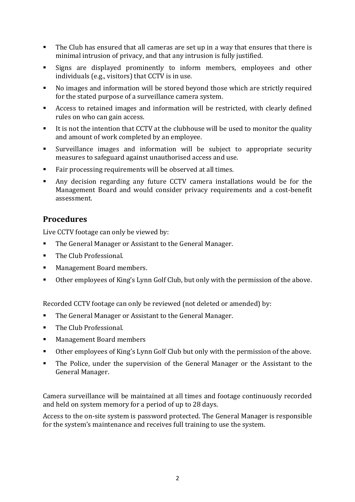- The Club has ensured that all cameras are set up in a way that ensures that there is minimal intrusion of privacy, and that any intrusion is fully justified.
- Signs are displayed prominently to inform members, employees and other individuals (e.g., visitors) that CCTV is in use.
- No images and information will be stored beyond those which are strictly required for the stated purpose of a surveillance camera system.
- Access to retained images and information will be restricted, with clearly defined rules on who can gain access.
- It is not the intention that CCTV at the clubhouse will be used to monitor the quality and amount of work completed by an employee.
- Surveillance images and information will be subject to appropriate security measures to safeguard against unauthorised access and use.
- Fair processing requirements will be observed at all times.
- Any decision regarding any future CCTV camera installations would be for the Management Board and would consider privacy requirements and a cost-benefit assessment.

### **Procedures**

Live CCTV footage can only be viewed by:

- The General Manager or Assistant to the General Manager.
- The Club Professional.
- Management Board members.
- Other employees of King's Lynn Golf Club, but only with the permission of the above.

Recorded CCTV footage can only be reviewed (not deleted or amended) by:

- The General Manager or Assistant to the General Manager.
- The Club Professional.
- Management Board members
- Other employees of King's Lynn Golf Club but only with the permission of the above.
- **•** The Police, under the supervision of the General Manager or the Assistant to the General Manager.

Camera surveillance will be maintained at all times and footage continuously recorded and held on system memory for a period of up to 28 days.

Access to the on-site system is password protected. The General Manager is responsible for the system's maintenance and receives full training to use the system.